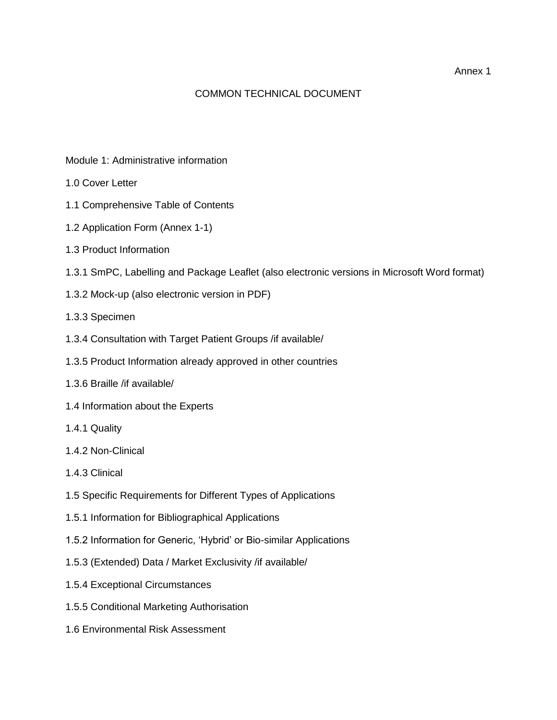## COMMON TECHNICAL DOCUMENT

- Module 1: Administrative information
- 1.0 Cover Letter
- 1.1 Comprehensive Table of Contents
- 1.2 Application Form (Annex 1-1)
- 1.3 Product Information
- 1.3.1 SmPC, Labelling and Package Leaflet (also electronic versions in Microsoft Word format)
- 1.3.2 Mock-up (also electronic version in PDF)
- 1.3.3 Specimen
- 1.3.4 Consultation with Target Patient Groups /if available/
- 1.3.5 Product Information already approved in other countries
- 1.3.6 Braille /if available/
- 1.4 Information about the Experts
- 1.4.1 Quality
- 1.4.2 Non-Clinical
- 1.4.3 Clinical
- 1.5 Specific Requirements for Different Types of Applications
- 1.5.1 Information for Bibliographical Applications
- 1.5.2 Information for Generic, 'Hybrid' or Bio-similar Applications
- 1.5.3 (Extended) Data / Market Exclusivity /if available/
- 1.5.4 Exceptional Circumstances
- 1.5.5 Conditional Marketing Authorisation
- 1.6 Environmental Risk Assessment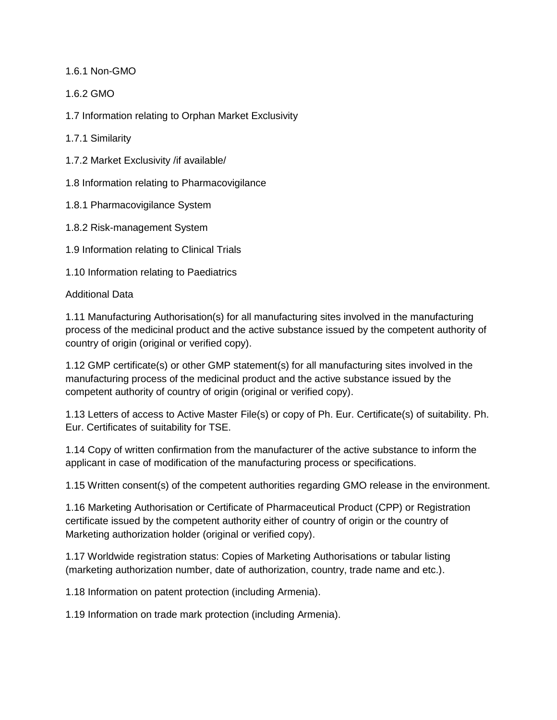1.6.1 Non-GMO

1.6.2 GMO

1.7 Information relating to Orphan Market Exclusivity

1.7.1 Similarity

1.7.2 Market Exclusivity /if available/

1.8 Information relating to Pharmacovigilance

1.8.1 Pharmacovigilance System

1.8.2 Risk-management System

1.9 Information relating to Clinical Trials

1.10 Information relating to Paediatrics

Additional Data

1.11 Manufacturing Authorisation(s) for all manufacturing sites involved in the manufacturing process of the medicinal product and the active substance issued by the competent authority of country of origin (original or verified copy).

1.12 GMP certificate(s) or other GMP statement(s) for all manufacturing sites involved in the manufacturing process of the medicinal product and the active substance issued by the competent authority of country of origin (original or verified copy).

1.13 Letters of access to Active Master File(s) or copy of Ph. Eur. Certificate(s) of suitability. Ph. Eur. Certificates of suitability for TSE.

1.14 Copy of written confirmation from the manufacturer of the active substance to inform the applicant in case of modification of the manufacturing process or specifications.

1.15 Written consent(s) of the competent authorities regarding GMO release in the environment.

1.16 Marketing Authorisation or Certificate of Pharmaceutical Product (CPP) or Registration certificate issued by the competent authority either of country of origin or the country of Marketing authorization holder (original or verified copy).

1.17 Worldwide registration status: Copies of Marketing Authorisations or tabular listing (marketing authorization number, date of authorization, country, trade name and etc.).

1.18 Information on patent protection (including Armenia).

1.19 Information on trade mark protection (including Armenia).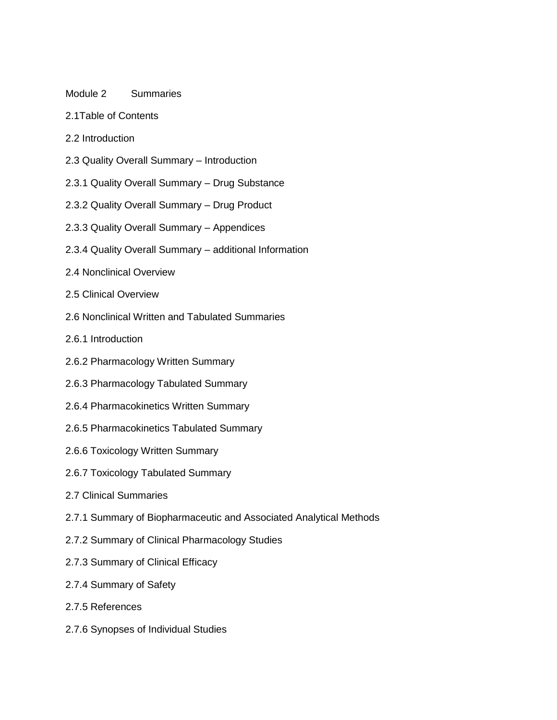### Module 2 Summaries

- 2.1Table of Contents
- 2.2 Introduction
- 2.3 Quality Overall Summary Introduction
- 2.3.1 Quality Overall Summary Drug Substance
- 2.3.2 Quality Overall Summary Drug Product
- 2.3.3 Quality Overall Summary Appendices
- 2.3.4 Quality Overall Summary additional Information
- 2.4 Nonclinical Overview
- 2.5 Clinical Overview
- 2.6 Nonclinical Written and Tabulated Summaries
- 2.6.1 Introduction
- 2.6.2 Pharmacology Written Summary
- 2.6.3 Pharmacology Tabulated Summary
- 2.6.4 Pharmacokinetics Written Summary
- 2.6.5 Pharmacokinetics Tabulated Summary
- 2.6.6 Toxicology Written Summary
- 2.6.7 Toxicology Tabulated Summary
- 2.7 Clinical Summaries
- 2.7.1 Summary of Biopharmaceutic and Associated Analytical Methods
- 2.7.2 Summary of Clinical Pharmacology Studies
- 2.7.3 Summary of Clinical Efficacy
- 2.7.4 Summary of Safety
- 2.7.5 References
- 2.7.6 Synopses of Individual Studies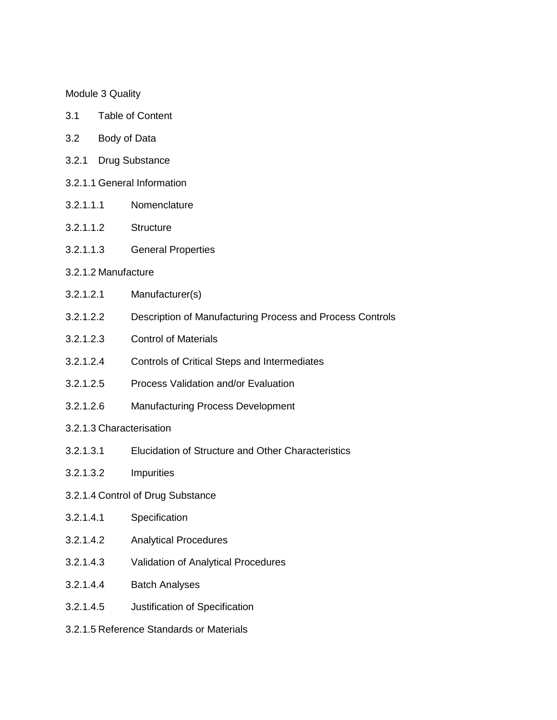### Module 3 Quality

- 3.1 Table of Content
- 3.2 Body of Data
- 3.2.1 Drug Substance
- 3.2.1.1 General Information
- 3.2.1.1.1 Nomenclature
- 3.2.1.1.2 Structure
- 3.2.1.1.3 General Properties

### 3.2.1.2 Manufacture

- 3.2.1.2.1 Manufacturer(s)
- 3.2.1.2.2 Description of Manufacturing Process and Process Controls
- 3.2.1.2.3 Control of Materials
- 3.2.1.2.4 Controls of Critical Steps and Intermediates
- 3.2.1.2.5 Process Validation and/or Evaluation
- 3.2.1.2.6 Manufacturing Process Development
- 3.2.1.3 Characterisation
- 3.2.1.3.1 Elucidation of Structure and Other Characteristics
- 3.2.1.3.2 Impurities
- 3.2.1.4 Control of Drug Substance
- 3.2.1.4.1 Specification
- 3.2.1.4.2 Analytical Procedures
- 3.2.1.4.3 Validation of Analytical Procedures
- 3.2.1.4.4 Batch Analyses
- 3.2.1.4.5 Justification of Specification
- 3.2.1.5 Reference Standards or Materials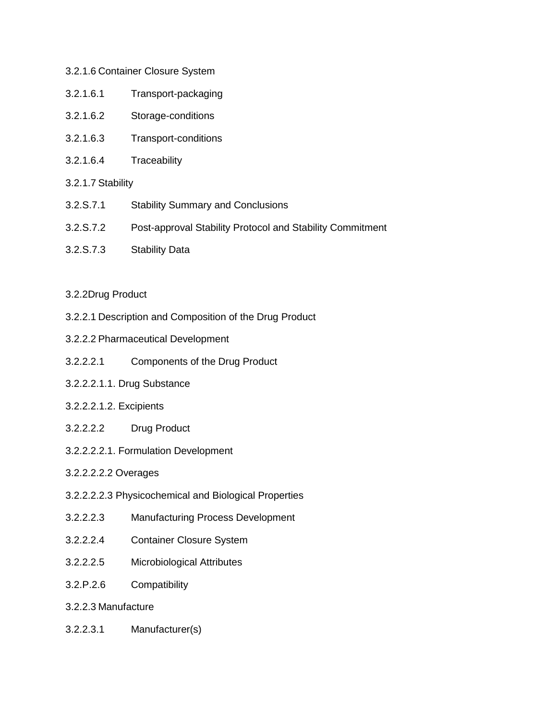# 3.2.1.6 Container Closure System

- 3.2.1.6.1 Transport-packaging
- 3.2.1.6.2 Storage-conditions
- 3.2.1.6.3 Transport-conditions
- 3.2.1.6.4 Traceability
- 3.2.1.7 Stability
- 3.2.S.7.1 Stability Summary and Conclusions
- 3.2.S.7.2 Post-approval Stability Protocol and Stability Commitment
- 3.2.S.7.3 Stability Data

# 3.2.2Drug Product

- 3.2.2.1 Description and Composition of the Drug Product
- 3.2.2.2 Pharmaceutical Development
- 3.2.2.2.1 Components of the Drug Product
- 3.2.2.2.1.1. Drug Substance
- 3.2.2.2.1.2. Excipients
- 3.2.2.2.2 Drug Product
- 3.2.2.2.2.1. Formulation Development

# 3.2.2.2.2.2 Overages

- 3.2.2.2.2.3 Physicochemical and Biological Properties
- 3.2.2.2.3 Manufacturing Process Development
- 3.2.2.2.4 Container Closure System
- 3.2.2.2.5 Microbiological Attributes
- 3.2.P.2.6 Compatibility
- 3.2.2.3 Manufacture
- 3.2.2.3.1 Manufacturer(s)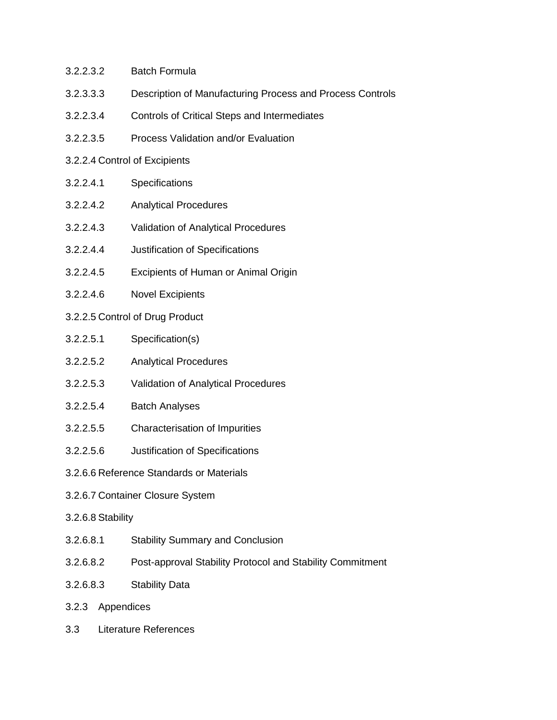- 3.2.2.3.2 Batch Formula
- 3.2.3.3.3 Description of Manufacturing Process and Process Controls
- 3.2.2.3.4 Controls of Critical Steps and Intermediates
- 3.2.2.3.5 Process Validation and/or Evaluation
- 3.2.2.4 Control of Excipients
- 3.2.2.4.1 Specifications
- 3.2.2.4.2 Analytical Procedures
- 3.2.2.4.3 Validation of Analytical Procedures
- 3.2.2.4.4 Justification of Specifications
- 3.2.2.4.5 Excipients of Human or Animal Origin
- 3.2.2.4.6 Novel Excipients
- 3.2.2.5 Control of Drug Product
- 3.2.2.5.1 Specification(s)
- 3.2.2.5.2 Analytical Procedures
- 3.2.2.5.3 Validation of Analytical Procedures
- 3.2.2.5.4 Batch Analyses
- 3.2.2.5.5 Characterisation of Impurities
- 3.2.2.5.6 Justification of Specifications
- 3.2.6.6 Reference Standards or Materials
- 3.2.6.7 Container Closure System
- 3.2.6.8 Stability
- 3.2.6.8.1 Stability Summary and Conclusion
- 3.2.6.8.2 Post-approval Stability Protocol and Stability Commitment
- 3.2.6.8.3 Stability Data
- 3.2.3 Appendices
- 3.3 Literature References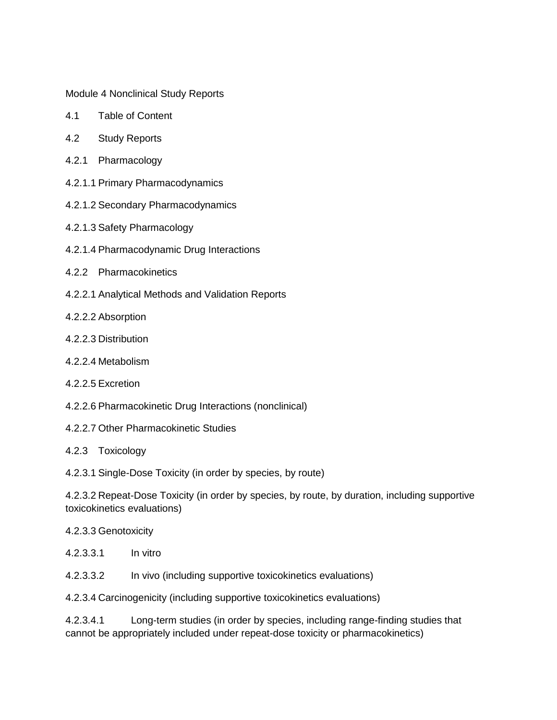Module 4 Nonclinical Study Reports

- 4.1 Table of Content
- 4.2 Study Reports
- 4.2.1 Pharmacology
- 4.2.1.1 Primary Pharmacodynamics
- 4.2.1.2 Secondary Pharmacodynamics
- 4.2.1.3 Safety Pharmacology
- 4.2.1.4 Pharmacodynamic Drug Interactions
- 4.2.2 Pharmacokinetics
- 4.2.2.1 Analytical Methods and Validation Reports
- 4.2.2.2 Absorption
- 4.2.2.3 Distribution
- 4.2.2.4 Metabolism
- 4.2.2.5 Excretion
- 4.2.2.6 Pharmacokinetic Drug Interactions (nonclinical)
- 4.2.2.7 Other Pharmacokinetic Studies
- 4.2.3 Toxicology

4.2.3.1 Single-Dose Toxicity (in order by species, by route)

4.2.3.2 Repeat-Dose Toxicity (in order by species, by route, by duration, including supportive toxicokinetics evaluations)

- 4.2.3.3 Genotoxicity
- 4.2.3.3.1 In vitro
- 4.2.3.3.2 In vivo (including supportive toxicokinetics evaluations)

4.2.3.4 Carcinogenicity (including supportive toxicokinetics evaluations)

4.2.3.4.1 Long-term studies (in order by species, including range-finding studies that cannot be appropriately included under repeat-dose toxicity or pharmacokinetics)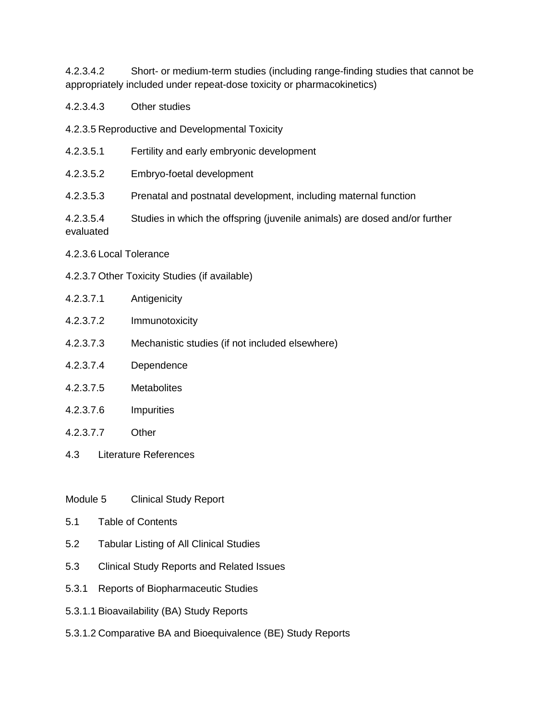4.2.3.4.2 Short- or medium-term studies (including range-finding studies that cannot be appropriately included under repeat-dose toxicity or pharmacokinetics)

- 4.2.3.4.3 Other studies
- 4.2.3.5 Reproductive and Developmental Toxicity
- 4.2.3.5.1 Fertility and early embryonic development
- 4.2.3.5.2 Embryo-foetal development
- 4.2.3.5.3 Prenatal and postnatal development, including maternal function
- 4.2.3.5.4 Studies in which the offspring (juvenile animals) are dosed and/or further evaluated
- 4.2.3.6 Local Tolerance
- 4.2.3.7 Other Toxicity Studies (if available)
- 4.2.3.7.1 Antigenicity
- 4.2.3.7.2 Immunotoxicity
- 4.2.3.7.3 Mechanistic studies (if not included elsewhere)
- 4.2.3.7.4 Dependence
- 4.2.3.7.5 Metabolites
- 4.2.3.7.6 Impurities
- 4.2.3.7.7 Other
- 4.3 Literature References
- Module 5 Clinical Study Report
- 5.1 Table of Contents
- 5.2 Tabular Listing of All Clinical Studies
- 5.3 Clinical Study Reports and Related Issues
- 5.3.1 Reports of Biopharmaceutic Studies
- 5.3.1.1 Bioavailability (BA) Study Reports
- 5.3.1.2 Comparative BA and Bioequivalence (BE) Study Reports